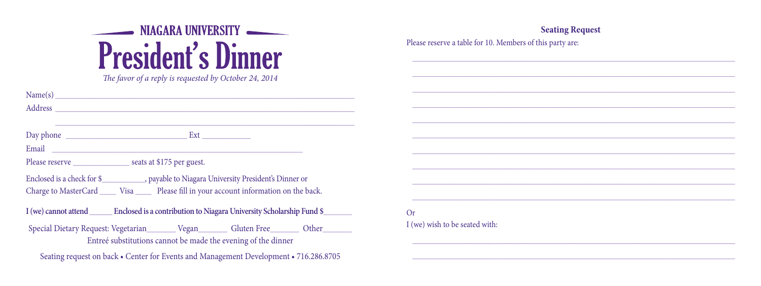## NIAGARA UNIVERSITY **President's Dinner**

The favor of a reply is requested by October 24, 2014

|                                                                                              | Name(s)                                                                                       |  |  |  |  |
|----------------------------------------------------------------------------------------------|-----------------------------------------------------------------------------------------------|--|--|--|--|
|                                                                                              |                                                                                               |  |  |  |  |
|                                                                                              |                                                                                               |  |  |  |  |
|                                                                                              |                                                                                               |  |  |  |  |
|                                                                                              |                                                                                               |  |  |  |  |
|                                                                                              | Please reserve ____________________ seats at \$175 per guest.                                 |  |  |  |  |
|                                                                                              | Enclosed is a check for \$______________, payable to Niagara University President's Dinner or |  |  |  |  |
| Charge to MasterCard ______ Visa ______ Please fill in your account information on the back. |                                                                                               |  |  |  |  |
|                                                                                              | I (we) cannot attend Enclosed is a contribution to Niagara University Scholarship Fund \$     |  |  |  |  |
|                                                                                              | Special Dietary Request: Vegetarian ________ Vegan ________ Gluten Free ________ Other        |  |  |  |  |
|                                                                                              | Entreé substitutions cannot be made the evening of the dinner                                 |  |  |  |  |
|                                                                                              | Seating request on back • Center for Events and Management Development • 716.286.8705         |  |  |  |  |

| <b>Seating Request</b><br>Please reserve a table for 10. Members of this party are: |  |  |  |  |  |  |
|-------------------------------------------------------------------------------------|--|--|--|--|--|--|
|                                                                                     |  |  |  |  |  |  |
|                                                                                     |  |  |  |  |  |  |
|                                                                                     |  |  |  |  |  |  |
|                                                                                     |  |  |  |  |  |  |
|                                                                                     |  |  |  |  |  |  |
|                                                                                     |  |  |  |  |  |  |
|                                                                                     |  |  |  |  |  |  |
|                                                                                     |  |  |  |  |  |  |
|                                                                                     |  |  |  |  |  |  |
|                                                                                     |  |  |  |  |  |  |
|                                                                                     |  |  |  |  |  |  |
|                                                                                     |  |  |  |  |  |  |
|                                                                                     |  |  |  |  |  |  |
|                                                                                     |  |  |  |  |  |  |
|                                                                                     |  |  |  |  |  |  |
| Or                                                                                  |  |  |  |  |  |  |
| I (we) wish to be seated with:                                                      |  |  |  |  |  |  |